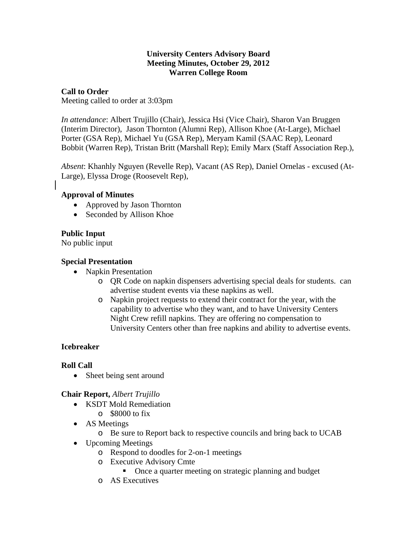### **University Centers Advisory Board Meeting Minutes, October 29, 2012 Warren College Room**

## **Call to Order**

Meeting called to order at 3:03pm

*In attendance*: Albert Trujillo (Chair), Jessica Hsi (Vice Chair), Sharon Van Bruggen (Interim Director), Jason Thornton (Alumni Rep), Allison Khoe (At-Large), Michael Porter (GSA Rep), Michael Yu (GSA Rep), Meryam Kamil (SAAC Rep), Leonard Bobbit (Warren Rep), Tristan Britt (Marshall Rep); Emily Marx (Staff Association Rep.),

*Absent*: Khanhly Nguyen (Revelle Rep), Vacant (AS Rep), Daniel Ornelas - excused (At-Large), Elyssa Droge (Roosevelt Rep),

#### **Approval of Minutes**

- Approved by Jason Thornton
- Seconded by Allison Khoe

## **Public Input**

No public input

#### **Special Presentation**

- Napkin Presentation
	- o QR Code on napkin dispensers advertising special deals for students. can advertise student events via these napkins as well.
	- o Napkin project requests to extend their contract for the year, with the capability to advertise who they want, and to have University Centers Night Crew refill napkins. They are offering no compensation to University Centers other than free napkins and ability to advertise events.

## **Icebreaker**

#### **Roll Call**

• Sheet being sent around

#### **Chair Report,** *Albert Trujillo*

- KSDT Mold Remediation
	- $\circ$  \$8000 to fix
- AS Meetings
	- o Be sure to Report back to respective councils and bring back to UCAB
- Upcoming Meetings
	- o Respond to doodles for 2-on-1 meetings
	- o Executive Advisory Cmte
		- Once a quarter meeting on strategic planning and budget
	- o AS Executives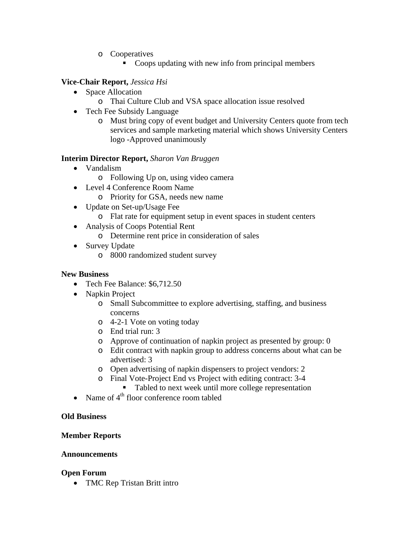- o Cooperatives
	- Coops updating with new info from principal members

### **Vice-Chair Report,** *Jessica Hsi*

- Space Allocation
	- o Thai Culture Club and VSA space allocation issue resolved
- Tech Fee Subsidy Language
	- o Must bring copy of event budget and University Centers quote from tech services and sample marketing material which shows University Centers logo -Approved unanimously

## **Interim Director Report,** *Sharon Van Bruggen*

- Vandalism
	- o Following Up on, using video camera
- Level 4 Conference Room Name
	- o Priority for GSA, needs new name
- Update on Set-up/Usage Fee
	- o Flat rate for equipment setup in event spaces in student centers
- Analysis of Coops Potential Rent
	- o Determine rent price in consideration of sales
- Survey Update
	- o 8000 randomized student survey

#### **New Business**

- Tech Fee Balance: \$6,712.50
- Napkin Project
	- o Small Subcommittee to explore advertising, staffing, and business concerns
	- o 4-2-1 Vote on voting today
	- o End trial run: 3
	- o Approve of continuation of napkin project as presented by group: 0
	- o Edit contract with napkin group to address concerns about what can be advertised: 3
	- o Open advertising of napkin dispensers to project vendors: 2
	- o Final Vote-Project End vs Project with editing contract: 3-4
		- Tabled to next week until more college representation
- Name of  $4^{\text{th}}$  floor conference room tabled

## **Old Business**

## **Member Reports**

#### **Announcements**

#### **Open Forum**

• TMC Rep Tristan Britt intro